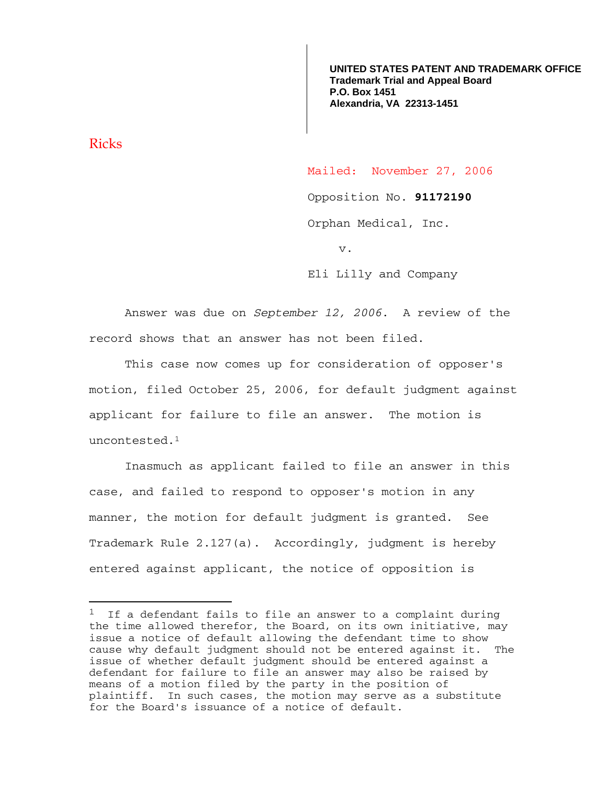**UNITED STATES PATENT AND TRADEMARK OFFICE Trademark Trial and Appeal Board P.O. Box 1451 Alexandria, VA 22313-1451**

Ricks

i<br>Li

Mailed: November 27, 2006

Opposition No. **91172190** 

Orphan Medical, Inc.

v.

Eli Lilly and Company

Answer was due on *September 12, 2006*. A review of the record shows that an answer has not been filed.

 This case now comes up for consideration of opposer's motion, filed October 25, 2006, for default judgment against applicant for failure to file an answer. The motion is uncontested.1

 Inasmuch as applicant failed to file an answer in this case, and failed to respond to opposer's motion in any manner, the motion for default judgment is granted. See Trademark Rule 2.127(a). Accordingly, judgment is hereby entered against applicant, the notice of opposition is

 $1$  If a defendant fails to file an answer to a complaint during the time allowed therefor, the Board, on its own initiative, may issue a notice of default allowing the defendant time to show cause why default judgment should not be entered against it. The issue of whether default judgment should be entered against a defendant for failure to file an answer may also be raised by means of a motion filed by the party in the position of plaintiff. In such cases, the motion may serve as a substitute for the Board's issuance of a notice of default.